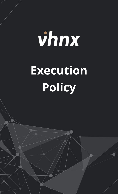## vhnx **Execution Policy**

The financial market and its leveraged products are complex instruments that come with a high risk of potentially losing capital.  $\mathcal{N}$  of trading accounts lose investments when using leveraged products. You should not invest more than  $\mathcal{N}$ prepared to lose. Considering your market experience and knowledge is very important before using our services. By using the

services of VHNX.com, you affine with the terms agreement with the terms and accept all the risks involved.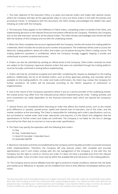1. The main objective of the Execution Policy is to place and execute orders and trades with optimal results, where the Company will take all the appropriate steps to carry out those orders in line with the policies and procedures herein. In compliance with this document, the Client hereby acknowledges the related risks upon initiating an order with the Company.

2. The Execution Policy applies to the fulfillment of Client orders, completing orders on behalf of the Client, and implementing decisions to the relevant financial instruments offered by the Company. Therefore, the Company acts as the sole execution venue for all the placed orders. The Client hereby acknowledges that he/she will deal with the facilities of the Company and not with the underlying market.

3. When the Client completes the account registered with the Company, he/she will receive the trading platform credentials, which includes the issued account number and password. The credentials will be used to access the electronic trading platform, where all orders and trades can be placed during the Client's trading course. The trading platform's password is confidential, where the Company strongly suggests keeping it private and undisclosed to prevent unauthorized access.

4. Orders can also be submitted by sending an official email to the Company. Client orders received via email are subject to the Company's approval, wherein orders that were not submitted through the trading platform must be formally confirmed in writing before implementing.

5. Orders will only be considered accepted and valid after completing the request as displayed on the trading platform. Additionally, the list of all initiated orders, such as those approved, pending, and canceled, will be available on the trading platform. For order and trade confirmation, the Client may contact the Company for further assistance. All orders will be executed according to the Client's sequence of submission or implementation.

6. Due to the nature of the Company's operations where it acts as a service provider of the underlying market, the market prices may differ from the indicated prices before implementing the order. Trading activities and price movements are solely dependent on the financial instrument itself, which are beyond the Company's control.

7. Several factors are considered when executing an order that affects the market prices, such as the market price difference or spreads, quoted prices, speed and interval time of execution, size of the order, and the market condition at the time being. The Client is responsible for indicating each order's specifications, such as, but not limited to, market order, limit order, take-profit, and stop-loss. It is the Client's firm obligation that the specifications of his/her orders and trades are confirmed. The Company is not liable for the loss or damage incurred by the Client due to incorrect or inaccurate order specifications.

8. The Client may specify the expiration with the following limit orders:

- A.) Day
- B.) Day + Extended Hours
- C.) Good 'til Canceled + Extended Hours
- D.) Extended AM/PM

9. Maximum risk levels and limits are established by the Company and its liquidity providers to prevent excessive order implementations. Therefore, the Company will only execute orders with complete and accurate specifications, and if such orders comply with the risk management of the Company. In line with this, the Company has the right to cancel or remove any order if it does not have a provided price from the relevant liquidity provider. Costs of orders must only be within the available Bid and Ask prices in the trading platform.

10. The Company and its service affiliates have the right to amend its market conditions, wherein the risk levels and market price difference or spreads can be modified from time to time effective immediately without prior notice.

The financial market and its leveraged products are complex instruments that come with a high risk of potentially losing capital. More than 73% of trading accounts lose investments when using leveraged products. You should not invest more than you are prepared to lose. Considering your market experience and knowledge is very important before using our services. By using the services of VHNX.com, you affirm your agreement with the terms and conditions and accept all the risks involved.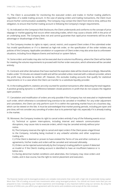11. The Client is accountable for monitoring the executed orders and trades in his/her trading platform, regardless of a stable trading account. In the case of placing orders and trading transactions, the Client must ensure his/her communication availability. The Company may contact the Client from time to time, without the obligation, to ensure that his/her trading account is following the Company's margin requirements.

12. As indicated on the Company's Risk Disclosure, the Client understands and conforms to the concept of price slippage or market gapping that occurs when executing trades, which may cause a drastic shift in the price of an underlying asset. The Company does not and cannot guarantee that rapid price movements will be at the advantage or disadvantage of the Client.

13. The Company invokes its rights to reject, cancel, restrict, and suspend Client orders if the submitted order has invalid specifications or if it is deemed as high-risk order, or the specification of the order violates any policies of the Company. Applicable cancelation or suspension of Client orders may also arise due to unforeseen situations, including Force Majeure Events and technical or system failure.

14. Some orders and trades may also not be executed due to volume insufficiency, where the Client will be liable for meeting the volume requirements to proceed with his/her order execution, which otherwise will be canceled entirely.

15. Contracts and other derivatives that have reached the expiration date will be closed accordingly. Meanwhile, trades under 10 minutes are viewed invalid and will be canceled unless reserved with a relevant provider, where the profit may otherwise be written off. However, this excludes trading accounts that qualify for statistical requirements or in a case where the Client can transfer to a substitute liquidity provider.

16. In the trading platform, statistics are only counted for positive transactions after deducting the total negative. A positive growing dynamic is a difference between closed positions in profit that do not surpass the negative open positions.

17. Cancelation and modification of orders are only possible if the Company has not executed or implemented such order, which otherwise is considered long overdue to be canceled or modified. For any order adjustment and cancelation, the Client can only perform such if it is within the operating market hours on a business day, which can be viewed on the Site. It must be acknowledged that market posting periods, including pre-open and pre-close, will not consider any canceling of orders due to its potential high risk, especially if it is already trading in the market.

18. Moreover, the Company invokes its right to cancel orders entirely if any of the following events occur:

A.) Technical or system interruptions, including internet and network communication disruptions, may cause risks to execute orders, which may be canceled entirely without prior notice.

B.) The Company reserves the right to cancel and reject orders if the Client poses a legal threat to the Company, including being involved in any unlawful activities and other suspicious trading acts.

C.) If the Client is deemed or proven to have violated the Terms of Use and other contracts or agreements, his/her trades and orders will be canceled and removed ultimately.

D.) Orders can be rejected automatically by the Company's trading platform system if detected as invalid or if the Client's trading account is identified to have an insufficient balance or is below zero.

E.) During abnormal market conditions and adversities, the Company may close orders and trades, and in due course, has the right to restrict placement and execution.

The financial market and its leveraged products are complex instruments that come with a high risk of potentially losing capital. More than 73% of trading accounts lose investments when using leveraged products. You should not invest more than you are prepared to lose. Considering your market experience and knowledge is very important before using our services. By using the services of VHNX.com, you affirm your agreement with the terms and conditions and accept all the risks involved.